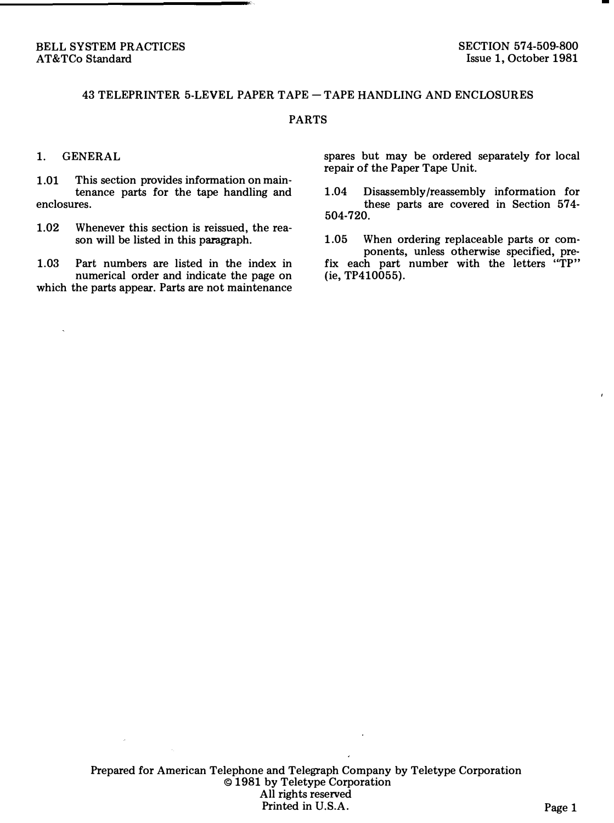## 43 TELEPRINTER 5-LEVEL PAPER TAPE- TAPE HANDLING AND ENCLOSURES

## PARTS

## 1. GENERAL

1.01 This section provides information on maintenance parts for the tape handling and enclosures.

1.02 Whenever this section is reissued, the reason will be listed in this paragraph.

1.03 Part numbers are listed in the index in numerical order and indicate the page on which the parts appear. Parts are not maintenance spares but may be ordered separately for local repair of the Paper Tape Unit.

- 1.04 Disassembly /reassembly information for these parts are covered in Section 574- 504-720.
- 1.05 When ordering replaceable parts or components, unless otherwise specified, prefix each part number with the letters "TP" (ie, TP410055).